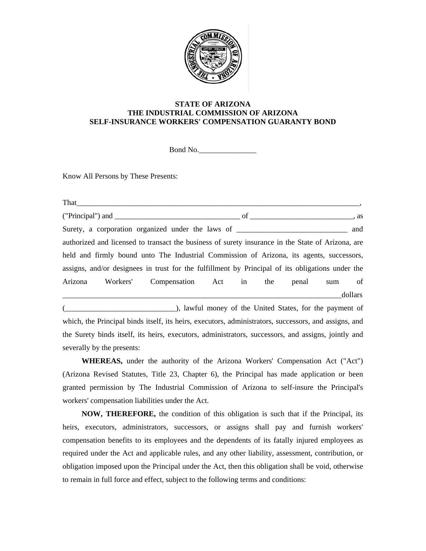

## **STATE OF ARIZONA THE INDUSTRIAL COMMISSION OF ARIZONA SELF-INSURANCE WORKERS' COMPENSATION GUARANTY BOND**

Bond No.\_\_\_\_\_\_\_\_\_\_\_\_\_\_\_

Know All Persons by These Presents:

|         |                            | authorized and licensed to transact the business of surety insurance in the State of Arizona, are     |  |  |        |         |
|---------|----------------------------|-------------------------------------------------------------------------------------------------------|--|--|--------|---------|
|         |                            | held and firmly bound unto The Industrial Commission of Arizona, its agents, successors,              |  |  |        |         |
|         |                            | assigns, and/or designees in trust for the fulfillment by Principal of its obligations under the      |  |  |        |         |
| Arizona |                            | Workers' Compensation Act in the penal                                                                |  |  | sum of |         |
|         |                            |                                                                                                       |  |  |        | dollars |
|         |                            | (Communicated States, for the payment of the United States, for the payment of                        |  |  |        |         |
|         |                            | which, the Principal binds itself, its heirs, executors, administrators, successors, and assigns, and |  |  |        |         |
|         |                            | the Surety binds itself, its heirs, executors, administrators, successors, and assigns, jointly and   |  |  |        |         |
|         | severally by the presents: |                                                                                                       |  |  |        |         |

**WHEREAS,** under the authority of the Arizona Workers' Compensation Act ("Act") (Arizona Revised Statutes, Title 23, Chapter 6), the Principal has made application or been granted permission by The Industrial Commission of Arizona to self-insure the Principal's workers' compensation liabilities under the Act.

**NOW, THEREFORE,** the condition of this obligation is such that if the Principal, its heirs, executors, administrators, successors, or assigns shall pay and furnish workers' compensation benefits to its employees and the dependents of its fatally injured employees as required under the Act and applicable rules, and any other liability, assessment, contribution, or obligation imposed upon the Principal under the Act, then this obligation shall be void, otherwise to remain in full force and effect, subject to the following terms and conditions: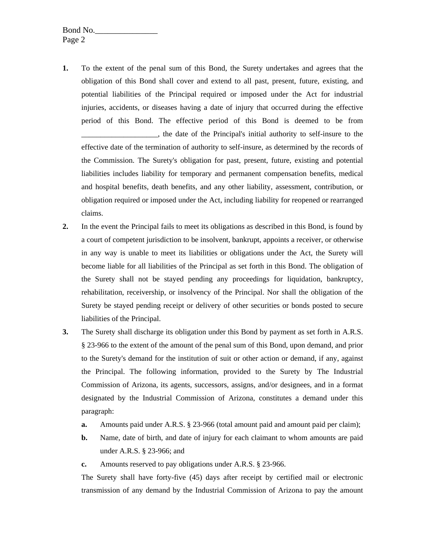Bond No. Page 2

- **1.** To the extent of the penal sum of this Bond, the Surety undertakes and agrees that the obligation of this Bond shall cover and extend to all past, present, future, existing, and potential liabilities of the Principal required or imposed under the Act for industrial injuries, accidents, or diseases having a date of injury that occurred during the effective period of this Bond. The effective period of this Bond is deemed to be from \_\_\_\_\_\_\_\_\_\_\_\_\_\_\_\_\_\_\_\_, the date of the Principal's initial authority to self-insure to the effective date of the termination of authority to self-insure, as determined by the records of the Commission. The Surety's obligation for past, present, future, existing and potential liabilities includes liability for temporary and permanent compensation benefits, medical and hospital benefits, death benefits, and any other liability, assessment, contribution, or obligation required or imposed under the Act, including liability for reopened or rearranged claims.
- **2.** In the event the Principal fails to meet its obligations as described in this Bond, is found by a court of competent jurisdiction to be insolvent, bankrupt, appoints a receiver, or otherwise in any way is unable to meet its liabilities or obligations under the Act, the Surety will become liable for all liabilities of the Principal as set forth in this Bond. The obligation of the Surety shall not be stayed pending any proceedings for liquidation, bankruptcy, rehabilitation, receivership, or insolvency of the Principal. Nor shall the obligation of the Surety be stayed pending receipt or delivery of other securities or bonds posted to secure liabilities of the Principal.
- **3.** The Surety shall discharge its obligation under this Bond by payment as set forth in A.R.S. § 23-966 to the extent of the amount of the penal sum of this Bond, upon demand, and prior to the Surety's demand for the institution of suit or other action or demand, if any, against the Principal. The following information, provided to the Surety by The Industrial Commission of Arizona, its agents, successors, assigns, and/or designees, and in a format designated by the Industrial Commission of Arizona, constitutes a demand under this paragraph:
	- **a.** Amounts paid under A.R.S. § 23-966 (total amount paid and amount paid per claim);
	- **b.** Name, date of birth, and date of injury for each claimant to whom amounts are paid under A.R.S. § 23-966; and
	- **c.** Amounts reserved to pay obligations under A.R.S. § 23-966.

The Surety shall have forty-five (45) days after receipt by certified mail or electronic transmission of any demand by the Industrial Commission of Arizona to pay the amount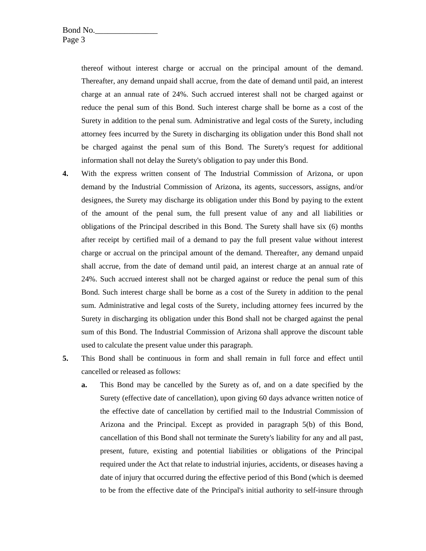thereof without interest charge or accrual on the principal amount of the demand. Thereafter, any demand unpaid shall accrue, from the date of demand until paid, an interest charge at an annual rate of 24%. Such accrued interest shall not be charged against or reduce the penal sum of this Bond. Such interest charge shall be borne as a cost of the Surety in addition to the penal sum. Administrative and legal costs of the Surety, including attorney fees incurred by the Surety in discharging its obligation under this Bond shall not be charged against the penal sum of this Bond. The Surety's request for additional information shall not delay the Surety's obligation to pay under this Bond.

- **4.** With the express written consent of The Industrial Commission of Arizona, or upon demand by the Industrial Commission of Arizona, its agents, successors, assigns, and/or designees, the Surety may discharge its obligation under this Bond by paying to the extent of the amount of the penal sum, the full present value of any and all liabilities or obligations of the Principal described in this Bond. The Surety shall have six (6) months after receipt by certified mail of a demand to pay the full present value without interest charge or accrual on the principal amount of the demand. Thereafter, any demand unpaid shall accrue, from the date of demand until paid, an interest charge at an annual rate of 24%. Such accrued interest shall not be charged against or reduce the penal sum of this Bond. Such interest charge shall be borne as a cost of the Surety in addition to the penal sum. Administrative and legal costs of the Surety, including attorney fees incurred by the Surety in discharging its obligation under this Bond shall not be charged against the penal sum of this Bond. The Industrial Commission of Arizona shall approve the discount table used to calculate the present value under this paragraph.
- **5.** This Bond shall be continuous in form and shall remain in full force and effect until cancelled or released as follows:
	- **a.** This Bond may be cancelled by the Surety as of, and on a date specified by the Surety (effective date of cancellation), upon giving 60 days advance written notice of the effective date of cancellation by certified mail to the Industrial Commission of Arizona and the Principal. Except as provided in paragraph 5(b) of this Bond, cancellation of this Bond shall not terminate the Surety's liability for any and all past, present, future, existing and potential liabilities or obligations of the Principal required under the Act that relate to industrial injuries, accidents, or diseases having a date of injury that occurred during the effective period of this Bond (which is deemed to be from the effective date of the Principal's initial authority to self-insure through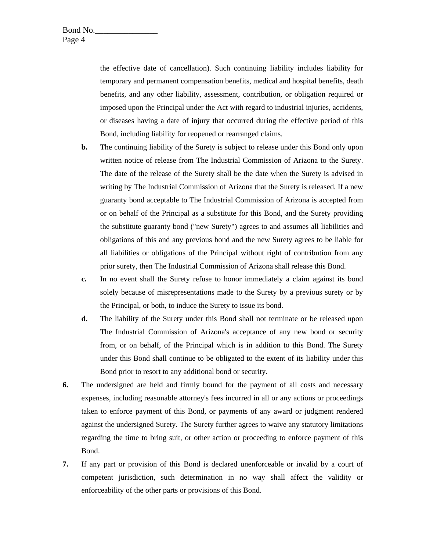the effective date of cancellation). Such continuing liability includes liability for temporary and permanent compensation benefits, medical and hospital benefits, death benefits, and any other liability, assessment, contribution, or obligation required or imposed upon the Principal under the Act with regard to industrial injuries, accidents, or diseases having a date of injury that occurred during the effective period of this Bond, including liability for reopened or rearranged claims.

- **b.** The continuing liability of the Surety is subject to release under this Bond only upon written notice of release from The Industrial Commission of Arizona to the Surety. The date of the release of the Surety shall be the date when the Surety is advised in writing by The Industrial Commission of Arizona that the Surety is released. If a new guaranty bond acceptable to The Industrial Commission of Arizona is accepted from or on behalf of the Principal as a substitute for this Bond, and the Surety providing the substitute guaranty bond ("new Surety") agrees to and assumes all liabilities and obligations of this and any previous bond and the new Surety agrees to be liable for all liabilities or obligations of the Principal without right of contribution from any prior surety, then The Industrial Commission of Arizona shall release this Bond.
- **c.** In no event shall the Surety refuse to honor immediately a claim against its bond solely because of misrepresentations made to the Surety by a previous surety or by the Principal, or both, to induce the Surety to issue its bond.
- **d.** The liability of the Surety under this Bond shall not terminate or be released upon The Industrial Commission of Arizona's acceptance of any new bond or security from, or on behalf, of the Principal which is in addition to this Bond. The Surety under this Bond shall continue to be obligated to the extent of its liability under this Bond prior to resort to any additional bond or security.
- **6.** The undersigned are held and firmly bound for the payment of all costs and necessary expenses, including reasonable attorney's fees incurred in all or any actions or proceedings taken to enforce payment of this Bond, or payments of any award or judgment rendered against the undersigned Surety. The Surety further agrees to waive any statutory limitations regarding the time to bring suit, or other action or proceeding to enforce payment of this Bond.
- **7.** If any part or provision of this Bond is declared unenforceable or invalid by a court of competent jurisdiction, such determination in no way shall affect the validity or enforceability of the other parts or provisions of this Bond.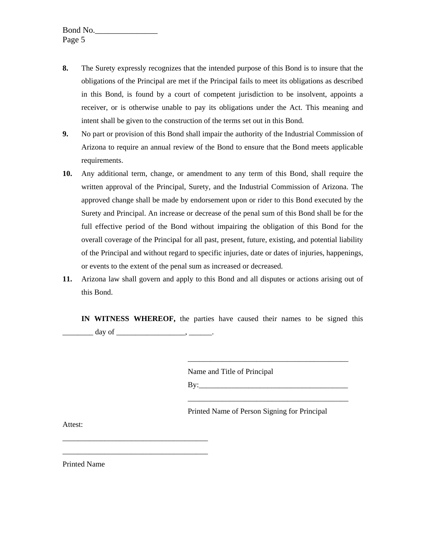- **8.** The Surety expressly recognizes that the intended purpose of this Bond is to insure that the obligations of the Principal are met if the Principal fails to meet its obligations as described in this Bond, is found by a court of competent jurisdiction to be insolvent, appoints a receiver, or is otherwise unable to pay its obligations under the Act. This meaning and intent shall be given to the construction of the terms set out in this Bond.
- **9.** No part or provision of this Bond shall impair the authority of the Industrial Commission of Arizona to require an annual review of the Bond to ensure that the Bond meets applicable requirements.
- **10.** Any additional term, change, or amendment to any term of this Bond, shall require the written approval of the Principal, Surety, and the Industrial Commission of Arizona. The approved change shall be made by endorsement upon or rider to this Bond executed by the Surety and Principal. An increase or decrease of the penal sum of this Bond shall be for the full effective period of the Bond without impairing the obligation of this Bond for the overall coverage of the Principal for all past, present, future, existing, and potential liability of the Principal and without regard to specific injuries, date or dates of injuries, happenings, or events to the extent of the penal sum as increased or decreased.
- **11.** Arizona law shall govern and apply to this Bond and all disputes or actions arising out of this Bond.

**IN WITNESS WHEREOF,** the parties have caused their names to be signed this  $\frac{day \text{ of }$ 

Name and Title of Principal

 $\overline{\phantom{a}}$  ,  $\overline{\phantom{a}}$  ,  $\overline{\phantom{a}}$  ,  $\overline{\phantom{a}}$  ,  $\overline{\phantom{a}}$  ,  $\overline{\phantom{a}}$  ,  $\overline{\phantom{a}}$  ,  $\overline{\phantom{a}}$  ,  $\overline{\phantom{a}}$  ,  $\overline{\phantom{a}}$  ,  $\overline{\phantom{a}}$  ,  $\overline{\phantom{a}}$  ,  $\overline{\phantom{a}}$  ,  $\overline{\phantom{a}}$  ,  $\overline{\phantom{a}}$  ,  $\overline{\phantom{a}}$ 

 $\mathbf{B} \mathbf{y}$ :

Printed Name of Person Signing for Principal

\_\_\_\_\_\_\_\_\_\_\_\_\_\_\_\_\_\_\_\_\_\_\_\_\_\_\_\_\_\_\_\_\_\_\_\_\_\_\_\_\_\_

Attest:

\_\_\_\_\_\_\_\_\_\_\_\_\_\_\_\_\_\_\_\_\_\_\_\_\_\_\_\_\_\_\_\_\_\_\_\_\_\_ \_\_\_\_\_\_\_\_\_\_\_\_\_\_\_\_\_\_\_\_\_\_\_\_\_\_\_\_\_\_\_\_\_\_\_\_\_\_

Printed Name